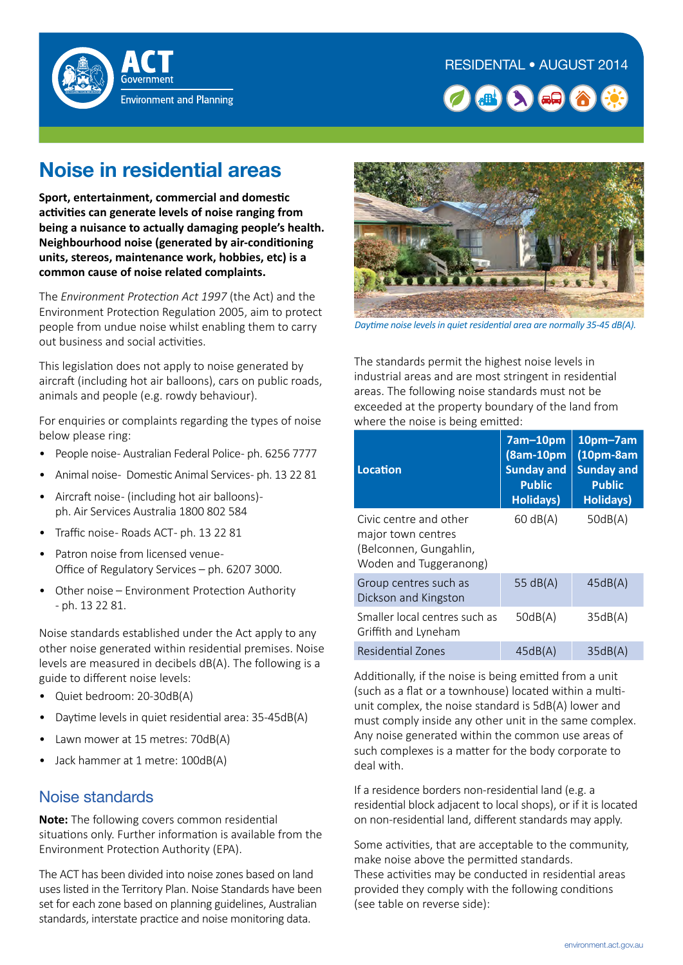



# **Noise in residential areas**

**Sport, entertainment, commercial and domestic activities can generate levels of noise ranging from being a nuisance to actually damaging people's health. Neighbourhood noise (generated by air-conditioning units, stereos, maintenance work, hobbies, etc) is a common cause of noise related complaints.**

The *Environment Protection Act 1997* (the Act) and the Environment Protection Regulation 2005, aim to protect people from undue noise whilst enabling them to carry out business and social activities.

This legislation does not apply to noise generated by aircraft (including hot air balloons), cars on public roads, animals and people (e.g. rowdy behaviour).

For enquiries or complaints regarding the types of noise below please ring:

- People noise- Australian Federal Police- ph. 6256 7777
- Animal noise- Domestic Animal Services- ph. 13 22 81
- Aircraft noise- (including hot air balloons)ph. Air Services Australia 1800 802 584
- Traffic noise- Roads ACT- ph. 13 22 81
- Patron noise from licensed venue Office of Regulatory Services – ph. 6207 3000.
- Other noise Environment Protection Authority - ph. 13 22 81.

Noise standards established under the Act apply to any other noise generated within residential premises. Noise levels are measured in decibels dB(A). The following is a guide to different noise levels:

- Quiet bedroom: 20-30dB(A)
- Daytime levels in quiet residential area: 35-45dB(A)
- Lawn mower at 15 metres: 70dB(A)
- Jack hammer at 1 metre: 100dB(A)

#### Noise standards

**Note:** The following covers common residential situations only. Further information is available from the Environment Protection Authority (EPA).

The ACT has been divided into noise zones based on land uses listed in the Territory Plan. Noise Standards have been set for each zone based on planning guidelines, Australian standards, interstate practice and noise monitoring data.



*Daytime noise levels in quiet residential area are normally 35-45 dB(A).*

The standards permit the highest noise levels in industrial areas and are most stringent in residential areas. The following noise standards must not be exceeded at the property boundary of the land from where the noise is being emitted:

| <b>Location</b>                                                                                  | 7am-10pm<br>(8am-10pm<br><b>Sunday and</b><br><b>Public</b><br><b>Holidays)</b> | $10pm$ -7am<br>$(10pm-8am)$<br><b>Sunday and</b><br><b>Public</b><br><b>Holidays)</b> |
|--------------------------------------------------------------------------------------------------|---------------------------------------------------------------------------------|---------------------------------------------------------------------------------------|
| Civic centre and other<br>major town centres<br>(Belconnen, Gungahlin,<br>Woden and Tuggeranong) | 60 dB(A)                                                                        | 50dB(A)                                                                               |
| Group centres such as<br>Dickson and Kingston                                                    | 55 $dB(A)$                                                                      | 45dB(A)                                                                               |
| Smaller local centres such as<br>Griffith and Lyneham                                            | 50dB(A)                                                                         | 35dB(A)                                                                               |
| Residential Zones                                                                                | 45dB(A)                                                                         | 35dB(A)                                                                               |

Additionally, if the noise is being emitted from a unit (such as a flat or a townhouse) located within a multiunit complex, the noise standard is 5dB(A) lower and must comply inside any other unit in the same complex. Any noise generated within the common use areas of such complexes is a matter for the body corporate to deal with.

If a residence borders non-residential land (e.g. a residential block adjacent to local shops), or if it is located on non-residential land, different standards may apply.

Some activities, that are acceptable to the community, make noise above the permitted standards. These activities may be conducted in residential areas provided they comply with the following conditions (see table on reverse side):